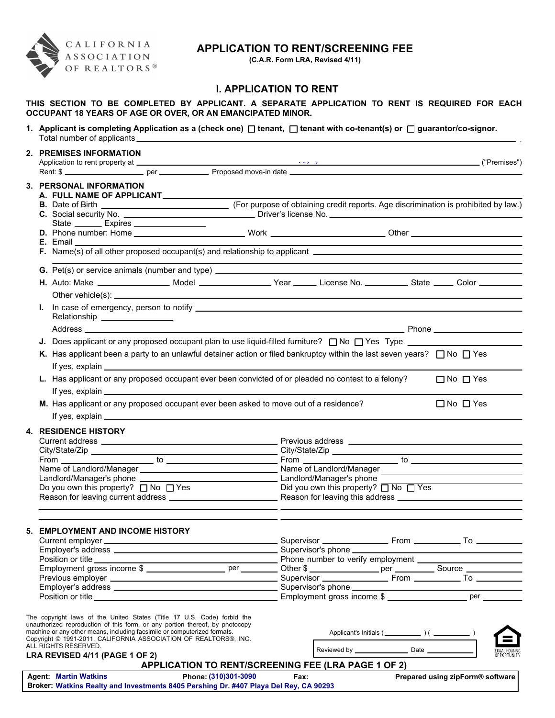

# **APPLICATION TO RENT/SCREENING FEE**

**(C.A.R. Form LRA, Revised 4/11)**

.

## **I. APPLICATION TO RENT**

**THIS SECTION TO BE COMPLETED BY APPLICANT. A SEPARATE APPLICATION TO RENT IS REQUIRED FOR EACH OCCUPANT 18 YEARS OF AGE OR OVER, OR AN EMANCIPATED MINOR.**

1. Applicant is completing Application as a (check one) □ tenant, □ tenant with co-tenant(s) or □ guarantor/co-signor. Total number of applicants

| 2. PREMISES INFORMATION                                                                                                                                                                                                                                      |                                                     |                    |                                                                                                                                                                                                                                |  |                                  |
|--------------------------------------------------------------------------------------------------------------------------------------------------------------------------------------------------------------------------------------------------------------|-----------------------------------------------------|--------------------|--------------------------------------------------------------------------------------------------------------------------------------------------------------------------------------------------------------------------------|--|----------------------------------|
|                                                                                                                                                                                                                                                              |                                                     |                    |                                                                                                                                                                                                                                |  |                                  |
| 3. PERSONAL INFORMATION<br>A. FULL NAME OF APPLICANT                                                                                                                                                                                                         |                                                     |                    |                                                                                                                                                                                                                                |  |                                  |
|                                                                                                                                                                                                                                                              |                                                     |                    |                                                                                                                                                                                                                                |  |                                  |
| State _________ Expires __________________                                                                                                                                                                                                                   |                                                     |                    |                                                                                                                                                                                                                                |  |                                  |
|                                                                                                                                                                                                                                                              |                                                     |                    |                                                                                                                                                                                                                                |  |                                  |
| G. Pet(s) or service animals (number and type) _________________________________                                                                                                                                                                             |                                                     |                    | the control of the control of the control of the control of the control of the control of the control of the control of the control of the control of the control of the control of the control of the control of the control  |  |                                  |
| H. Auto: Make __________________ Model __________________Year ______ License No. ___________ State _____ Color _________                                                                                                                                     |                                                     |                    |                                                                                                                                                                                                                                |  |                                  |
| Ъ.<br>Relationship _________________                                                                                                                                                                                                                         |                                                     |                    |                                                                                                                                                                                                                                |  |                                  |
|                                                                                                                                                                                                                                                              |                                                     |                    |                                                                                                                                                                                                                                |  |                                  |
| J. Does applicant or any proposed occupant plan to use liquid-filled furniture? $\Box$ No $\Box$ Yes Type $\Box$<br>K. Has applicant been a party to an unlawful detainer action or filed bankruptcy within the last seven years? $\Box$ No $\Box$ Yes       |                                                     |                    |                                                                                                                                                                                                                                |  |                                  |
| L. Has applicant or any proposed occupant ever been convicted of or pleaded no contest to a felony?                                                                                                                                                          |                                                     |                    |                                                                                                                                                                                                                                |  | $\Box$ No $\Box$ Yes             |
| M. Has applicant or any proposed occupant ever been asked to move out of a residence?                                                                                                                                                                        |                                                     |                    |                                                                                                                                                                                                                                |  | $\Box$ No $\Box$ Yes             |
| <b>4. RESIDENCE HISTORY</b>                                                                                                                                                                                                                                  |                                                     |                    |                                                                                                                                                                                                                                |  |                                  |
|                                                                                                                                                                                                                                                              |                                                     |                    |                                                                                                                                                                                                                                |  |                                  |
|                                                                                                                                                                                                                                                              |                                                     |                    |                                                                                                                                                                                                                                |  |                                  |
|                                                                                                                                                                                                                                                              |                                                     |                    |                                                                                                                                                                                                                                |  |                                  |
|                                                                                                                                                                                                                                                              |                                                     |                    |                                                                                                                                                                                                                                |  |                                  |
| Do you own this property? $\Box$ No $\Box$ Yes                                                                                                                                                                                                               |                                                     |                    | Did you own this property? $\Box$ No $\Box$ Yes                                                                                                                                                                                |  |                                  |
|                                                                                                                                                                                                                                                              |                                                     |                    |                                                                                                                                                                                                                                |  |                                  |
| 5. EMPLOYMENT AND INCOME HISTORY                                                                                                                                                                                                                             |                                                     |                    |                                                                                                                                                                                                                                |  |                                  |
| Current employer <b>contract to the contract of the contract of the contract of the contract of the contract of the contract of the contract of the contract of the contract of the contract of the contract of the contract of </b><br>Employer's address _ |                                                     |                    |                                                                                                                                                                                                                                |  |                                  |
| Position or title                                                                                                                                                                                                                                            |                                                     | Supervisor's phone |                                                                                                                                                                                                                                |  |                                  |
|                                                                                                                                                                                                                                                              |                                                     |                    |                                                                                                                                                                                                                                |  |                                  |
|                                                                                                                                                                                                                                                              |                                                     |                    |                                                                                                                                                                                                                                |  |                                  |
|                                                                                                                                                                                                                                                              |                                                     |                    |                                                                                                                                                                                                                                |  |                                  |
|                                                                                                                                                                                                                                                              |                                                     |                    |                                                                                                                                                                                                                                |  |                                  |
| The copyright laws of the United States (Title 17 U.S. Code) forbid the<br>unauthorized reproduction of this form, or any portion thereof, by photocopy<br>machine or any other means, including facsimile or computerized formats.                          |                                                     |                    |                                                                                                                                                                                                                                |  |                                  |
| Copyright © 1991-2011, CALIFORNIA ASSOCIATION OF REALTORS®, INC.<br>ALL RIGHTS RESERVED.                                                                                                                                                                     |                                                     |                    |                                                                                                                                                                                                                                |  |                                  |
| LRA REVISED 4/11 (PAGE 1 OF 2)                                                                                                                                                                                                                               | APPLICATION TO RENT/SCREENING FEE (LRA PAGE 1 OF 2) |                    |                                                                                                                                                                                                                                |  | OPPORTUNITY                      |
| <b>Agent: Martin Watkins</b>                                                                                                                                                                                                                                 | Phone: (310)301-3090                                |                    | Fax: the contract of the contract of the contract of the contract of the contract of the contract of the contract of the contract of the contract of the contract of the contract of the contract of the contract of the contr |  | Prepared using zipForm® software |

**Broker: Watkins Realty and Investments 8405 Pershing Dr. #407 Playa Del Rey, CA 90293**